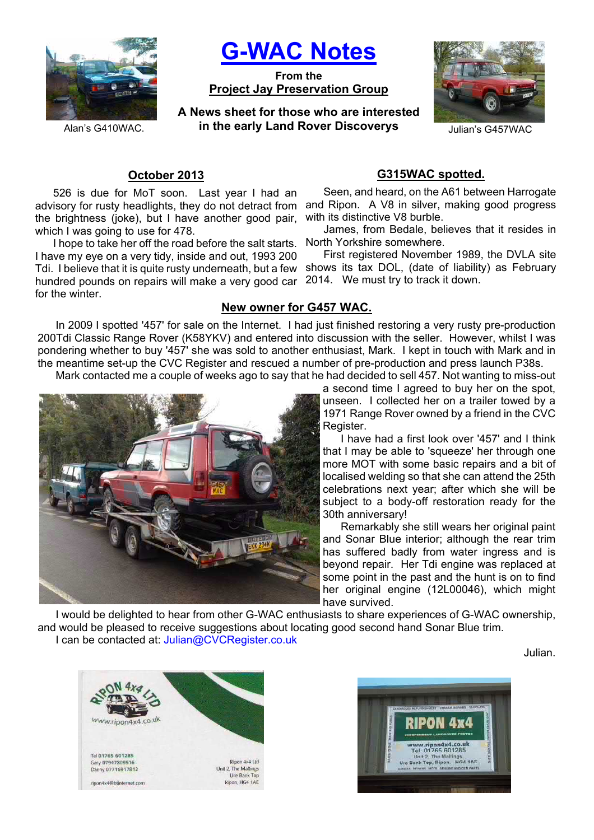

**G-WAC Notes**

**From the Project Jay Preservation Group**

**A News sheet for those who are interested**  Alan's G410WAC. **in the early Land Rover Discoverys** Julian's G457WAC



## **October 2013**

advisory for rusty headlights, they do not detract from and Ripon. A V8 in silver, making good progress 526 is due for MoT soon. Last year I had an the brightness (joke), but I have another good pair, which I was going to use for 478.

Tdi. I believe that it is quite rusty underneath, but a few shows its tax DOL, (date of liability) as February hundred pounds on repairs will make a very good car 2014. We must try to track it down. I hope to take her off the road before the salt starts. I have my eye on a very tidy, inside and out, 1993 200 for the winter.

# **G315WAC spotted.**

Seen, and heard, on the A61 between Harrogate with its distinctive V8 burble.

James, from Bedale, believes that it resides in North Yorkshire somewhere.

First registered November 1989, the DVLA site

### **New owner for G457 WAC.**

In 2009 I spotted '457' for sale on the Internet. I had just finished restoring a very rusty pre-production 200Tdi Classic Range Rover (K58YKV) and entered into discussion with the seller. However, whilst I was pondering whether to buy '457' she was sold to another enthusiast, Mark. I kept in touch with Mark and in the meantime set-up the CVC Register and rescued a number of pre-production and press launch P38s.

Mark contacted me a couple of weeks ago to say that he had decided to sell 457. Not wanting to miss-out



a second time I agreed to buy her on the spot, unseen. I collected her on a trailer towed by a 1971 Range Rover owned by a friend in the CVC Register.

I have had a first look over '457' and I think that I may be able to 'squeeze' her through one more MOT with some basic repairs and a bit of localised welding so that she can attend the 25th celebrations next year; after which she will be subject to a body-off restoration ready for the 30th anniversary!

Remarkably she still wears her original paint and Sonar Blue interior; although the rear trim has suffered badly from water ingress and is beyond repair. Her Tdi engine was replaced at some point in the past and the hunt is on to find her original engine (12L00046), which might have survived.

I would be delighted to hear from other G-WAC enthusiasts to share experiences of G-WAC ownership, and would be pleased to receive suggestions about locating good second hand Sonar Blue trim.

I can be contacted at: Julian@CVCRegister.co.uk

Julian.



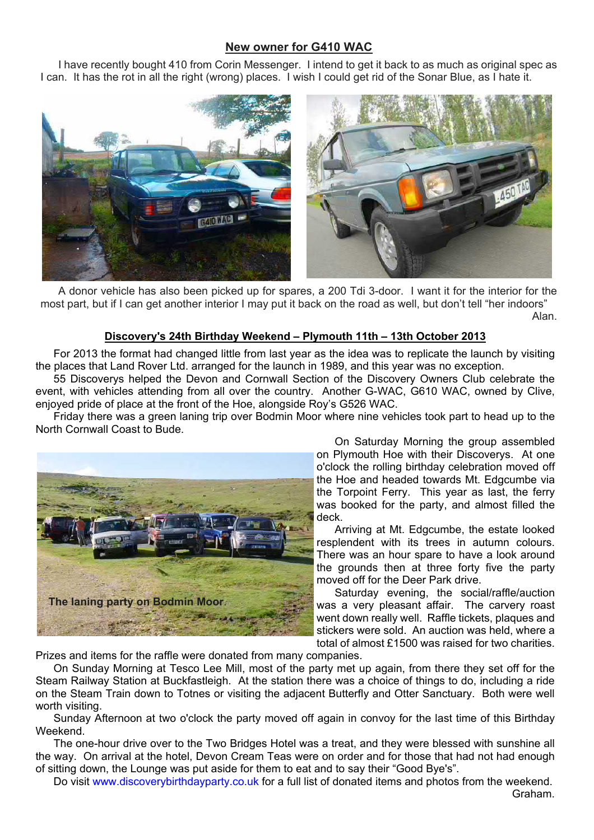## **New owner for G410 WAC**

I have recently bought 410 from Corin Messenger. I intend to get it back to as much as original spec as I can. It has the rot in all the right (wrong) places. I wish I could get rid of the Sonar Blue, as I hate it.



A donor vehicle has also been picked up for spares, a 200 Tdi 3-door. I want it for the interior for the most part, but if I can get another interior I may put it back on the road as well, but don't tell "her indoors" Alan.

#### **Discovery's 24th Birthday Weekend – Plymouth 11th – 13th October 2013**

For 2013 the format had changed little from last year as the idea was to replicate the launch by visiting the places that Land Rover Ltd. arranged for the launch in 1989, and this year was no exception.

55 Discoverys helped the Devon and Cornwall Section of the Discovery Owners Club celebrate the event, with vehicles attending from all over the country. Another G-WAC, G610 WAC, owned by Clive, enjoyed pride of place at the front of the Hoe, alongside Roy's G526 WAC.

Friday there was a green laning trip over Bodmin Moor where nine vehicles took part to head up to the North Cornwall Coast to Bude.



On Saturday Morning the group assembled on Plymouth Hoe with their Discoverys. At one o'clock the rolling birthday celebration moved off the Hoe and headed towards Mt. Edgcumbe via the Torpoint Ferry. This year as last, the ferry was booked for the party, and almost filled the deck.

Arriving at Mt. Edgcumbe, the estate looked resplendent with its trees in autumn colours. There was an hour spare to have a look around the grounds then at three forty five the party moved off for the Deer Park drive.

Saturday evening, the social/raffle/auction was a very pleasant affair. The carvery roast went down really well. Raffle tickets, plaques and stickers were sold. An auction was held, where a total of almost £1500 was raised for two charities.

Prizes and items for the raffle were donated from many companies.

On Sunday Morning at Tesco Lee Mill, most of the party met up again, from there they set off for the Steam Railway Station at Buckfastleigh. At the station there was a choice of things to do, including a ride on the Steam Train down to Totnes or visiting the adjacent Butterfly and Otter Sanctuary. Both were well worth visiting.

Sunday Afternoon at two o'clock the party moved off again in convoy for the last time of this Birthday Weekend.

The one-hour drive over to the Two Bridges Hotel was a treat, and they were blessed with sunshine all the way. On arrival at the hotel, Devon Cream Teas were on order and for those that had not had enough of sitting down, the Lounge was put aside for them to eat and to say their "Good Bye's".

Do visit www.discoverybirthdayparty.co.uk for a full list of donated items and photos from the weekend. Graham.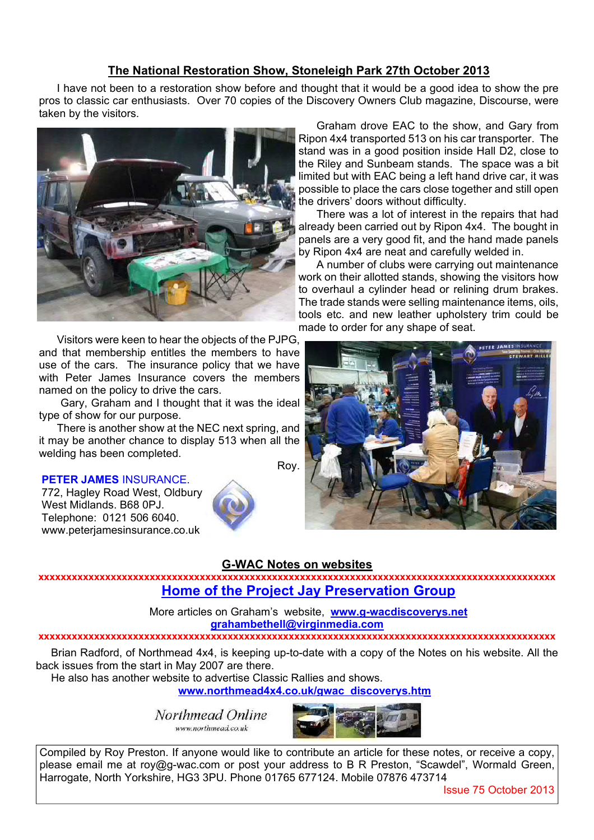## **The National Restoration Show, Stoneleigh Park 27th October 2013**

I have not been to a restoration show before and thought that it would be a good idea to show the pre pros to classic car enthusiasts. Over 70 copies of the Discovery Owners Club magazine, Discourse, were taken by the visitors.



Visitors were keen to hear the objects of the PJPG, and that membership entitles the members to have use of the cars. The insurance policy that we have with Peter James Insurance covers the members named on the policy to drive the cars.

 Gary, Graham and I thought that it was the ideal type of show for our purpose.

There is another show at the NEC next spring, and it may be another chance to display 513 when all the welding has been completed. Roy.

#### **PETER JAMES** INSURANCE.

772, Hagley Road West, Oldbury, West Midlands. B68 0PJ. Telephone: 0121 506 6040. www.peterjamesinsurance.co.uk



Graham drove EAC to the show, and Gary from Ripon 4x4 transported 513 on his car transporter. The stand was in a good position inside Hall D2, close to the Riley and Sunbeam stands. The space was a bit limited but with EAC being a left hand drive car, it was possible to place the cars close together and still open the drivers' doors without difficulty.

There was a lot of interest in the repairs that had already been carried out by Ripon 4x4. The bought in panels are a very good fit, and the hand made panels by Ripon 4x4 are neat and carefully welded in.

A number of clubs were carrying out maintenance work on their allotted stands, showing the visitors how to overhaul a cylinder head or relining drum brakes. The trade stands were selling maintenance items, oils. tools etc. and new leather upholstery trim could be made to order for any shape of seat.



## **G-WAC Notes on websites**

**xxxxxxxxxxxxxxxxxxxxxxxxxxxxxxxxxxxxxxxxxxxxxxxxxxxxxxxxxxxxxxxxxxxxxxxxxxxxxxxxxxxxxxxxxxxxx Home of the Project Jay Preservation Group**

> More articles on Graham's website, **www.g-wacdiscoverys.net grahambethell@virginmedia.com**

#### **xxxxxxxxxxxxxxxxxxxxxxxxxxxxxxxxxxxxxxxxxxxxxxxxxxxxxxxxxxxxxxxxxxxxxxxxxxxxxxxxxxxxxxxxxxxxx**

Brian Radford, of Northmead 4x4, is keeping up-to-date with a copy of the Notes on his website. All the back issues from the start in May 2007 are there.

He also has another website to advertise Classic Rallies and shows.

**www.northmead4x4.co.uk/gwac\_discoverys.htm**

www.northmead.co.uk



Compiled by Roy Preston. If anyone would like to contribute an article for these notes, or receive a copy, please email me at roy@g-wac.com or post your address to B R Preston, "Scawdel", Wormald Green, Harrogate, North Yorkshire, HG3 3PU. Phone 01765 677124. Mobile 07876 473714

Issue 75 October 2013